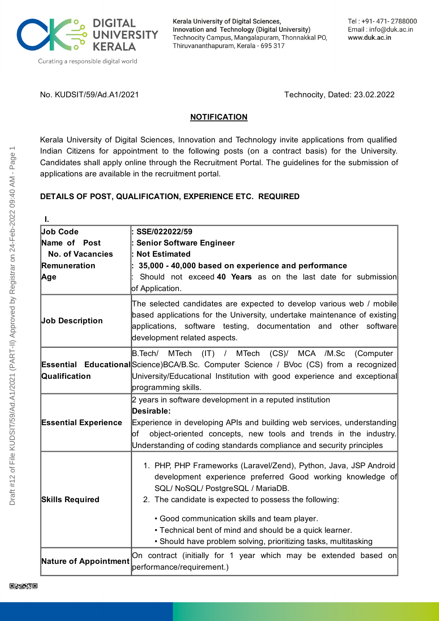

Kerala University of Digital Sciences, Innovation and Technology (Digital University) Technocity Campus, Mangalapuram, Thonnakkal PO, Thiruvananthapuram, Kerala - 695 317

No. KUDSIT/59/Ad.A1/2021 Technocity, Dated: 23.02.2022

#### **NOTIFICATION**

Kerala University of Digital Sciences, Innovation and Technology invite applications from qualified Indian Citizens for appointment to the following posts (on a contract basis) for the University. Candidates shall apply online through the Recruitment Portal. The guidelines for the submission of applications are available in the recruitment portal.

## **DETAILS OF POST, QUALIFICATION, EXPERIENCE ETC. REQUIRED**

| I.                          |                                                                                                                                                                                                                                                                                                                                                                                                             |
|-----------------------------|-------------------------------------------------------------------------------------------------------------------------------------------------------------------------------------------------------------------------------------------------------------------------------------------------------------------------------------------------------------------------------------------------------------|
| <b>Job Code</b>             | SSE/022022/59                                                                                                                                                                                                                                                                                                                                                                                               |
| Name of Post                | <b>Senior Software Engineer</b>                                                                                                                                                                                                                                                                                                                                                                             |
| <b>No. of Vacancies</b>     | <b>Not Estimated</b>                                                                                                                                                                                                                                                                                                                                                                                        |
| Remuneration                | 35,000 - 40,000 based on experience and performance                                                                                                                                                                                                                                                                                                                                                         |
| Age                         | Should not exceed 40 Years as on the last date for submission<br>of Application.                                                                                                                                                                                                                                                                                                                            |
| <b>Job Description</b>      | The selected candidates are expected to develop various web / mobile<br>based applications for the University, undertake maintenance of existing<br>applications, software testing, documentation and other software<br>development related aspects.                                                                                                                                                        |
| Qualification               | B.Tech/ MTech<br>$(IT)$ / MTech<br>(CS)/ MCA /M.Sc<br>(Computer<br><b>Essential Educational</b> Science) BCA/B.Sc. Computer Science / BVoc (CS) from a recognized<br>University/Educational Institution with good experience and exceptional<br>programming skills.                                                                                                                                         |
| <b>Essential Experience</b> | 2 years in software development in a reputed institution<br>Desirable:<br>Experience in developing APIs and building web services, understanding<br>of object-oriented concepts, new tools and trends in the industry.<br>Understanding of coding standards compliance and security principles                                                                                                              |
| <b>Skills Required</b>      | 1. PHP, PHP Frameworks (Laravel/Zend), Python, Java, JSP Android<br>development experience preferred Good working knowledge of<br>SQL/ NoSQL/ PostgreSQL / MariaDB.<br>2. The candidate is expected to possess the following:<br>• Good communication skills and team player.<br>• Technical bent of mind and should be a quick learner.<br>• Should have problem solving, prioritizing tasks, multitasking |
| Nature of Appointment       | On contract (initially for 1 year which may be extended based on<br>performance/requirement.)                                                                                                                                                                                                                                                                                                               |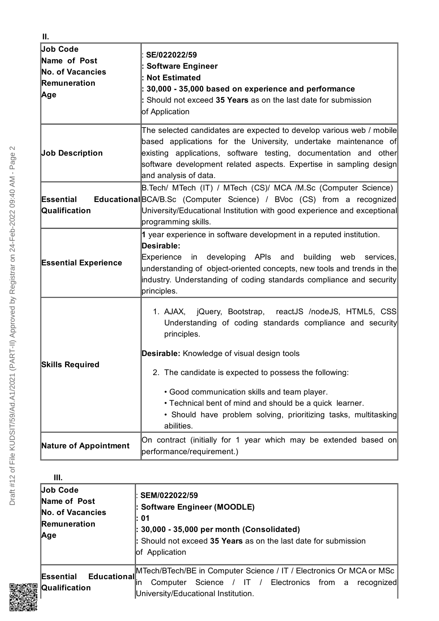| Job Code<br>Name of Post<br>No. of Vacancies<br>Remuneration<br>Age | SE/022022/59<br><b>Software Engineer</b><br><b>Not Estimated</b><br>30,000 - 35,000 based on experience and performance<br>: Should not exceed 35 Years as on the last date for submission<br>of Application                                                                                                                                                                                                                                    |
|---------------------------------------------------------------------|-------------------------------------------------------------------------------------------------------------------------------------------------------------------------------------------------------------------------------------------------------------------------------------------------------------------------------------------------------------------------------------------------------------------------------------------------|
| <b>Job Description</b>                                              | The selected candidates are expected to develop various web / mobile<br>based applications for the University, undertake maintenance of<br>existing applications, software testing, documentation and other<br>software development related aspects. Expertise in sampling design<br>and analysis of data.                                                                                                                                      |
| Essential<br>Qualification                                          | B. Tech/ MTech (IT) / MTech (CS)/ MCA /M. Sc (Computer Science)<br><b>Educational</b> BCA/B.Sc (Computer Science) / BVoc (CS) from a recognized<br>University/Educational Institution with good experience and exceptional<br>programming skills.                                                                                                                                                                                               |
| <b>Essential Experience</b>                                         | 1 year experience in software development in a reputed institution.<br>Desirable:<br>in developing APIs and building web<br>Experience<br>services,<br>understanding of object-oriented concepts, new tools and trends in the<br>industry. Understanding of coding standards compliance and security<br>principles.                                                                                                                             |
| <b>Skills Required</b>                                              | 1. AJAX, jQuery, Bootstrap, reactJS /nodeJS, HTML5, CSS<br>Understanding of coding standards compliance and security<br>principles.<br><b>Desirable:</b> Knowledge of visual design tools<br>2. The candidate is expected to possess the following:<br>• Good communication skills and team player.<br>• Technical bent of mind and should be a quick learner.<br>• Should have problem solving, prioritizing tasks, multitasking<br>abilities. |
| <b>Nature of Appointment</b>                                        | On contract (initially for 1 year which may be extended based on<br>performance/requirement.)                                                                                                                                                                                                                                                                                                                                                   |

| Ш.                                                                         |                                                                                                                                                                                                   |
|----------------------------------------------------------------------------|---------------------------------------------------------------------------------------------------------------------------------------------------------------------------------------------------|
| Job Code<br>Name of Post<br><b>No. of Vacancies</b><br>Remuneration<br>Age | SEM/022022/59<br>: Software Engineer (MOODLE)<br>l: 01<br>$\vert$ : 30,000 - 35,000 per month (Consolidated)<br>: Should not exceed 35 Years as on the last date for submission<br>of Application |
| Educational<br>Essential<br>Qualification                                  | MTech/BTech/BE in Computer Science / IT / Electronics Or MCA or MSc  <br>Science / IT / Electronics from a<br>Computer<br>recognized<br>lin<br>University/Educational Institution.                |

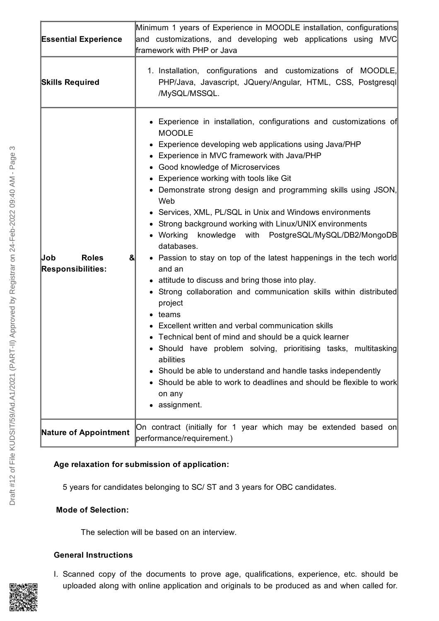| <b>Essential Experience</b>                                     | Minimum 1 years of Experience in MOODLE installation, configurations<br>and customizations, and developing web applications using MVC<br>framework with PHP or Java                                                                                                                                                                                                                                                                                                                                                                                                                                                                                                                                                                                                                                                                                                                                                                                                                                                                                                                                                                                       |
|-----------------------------------------------------------------|-----------------------------------------------------------------------------------------------------------------------------------------------------------------------------------------------------------------------------------------------------------------------------------------------------------------------------------------------------------------------------------------------------------------------------------------------------------------------------------------------------------------------------------------------------------------------------------------------------------------------------------------------------------------------------------------------------------------------------------------------------------------------------------------------------------------------------------------------------------------------------------------------------------------------------------------------------------------------------------------------------------------------------------------------------------------------------------------------------------------------------------------------------------|
| <b>Skills Required</b>                                          | 1. Installation, configurations and customizations of MOODLE,<br>PHP/Java, Javascript, JQuery/Angular, HTML, CSS, Postgresql<br>/MySQL/MSSQL.                                                                                                                                                                                                                                                                                                                                                                                                                                                                                                                                                                                                                                                                                                                                                                                                                                                                                                                                                                                                             |
| Job<br><b>Roles</b><br>$\mathbf{g}$<br><b>Responsibilities:</b> | • Experience in installation, configurations and customizations of<br><b>MOODLE</b><br>Experience developing web applications using Java/PHP<br>٠<br>• Experience in MVC framework with Java/PHP<br>• Good knowledge of Microservices<br>• Experience working with tools like Git<br>• Demonstrate strong design and programming skills using JSON,<br>Web<br>• Services, XML, PL/SQL in Unix and Windows environments<br>• Strong background working with Linux/UNIX environments<br>• Working<br>knowledge with PostgreSQL/MySQL/DB2/MongoDB<br>databases.<br>• Passion to stay on top of the latest happenings in the tech world<br>and an<br>• attitude to discuss and bring those into play.<br>• Strong collaboration and communication skills within distributed<br>project<br>teams<br>Excellent written and verbal communication skills<br>Technical bent of mind and should be a quick learner<br>• Should have problem solving, prioritising tasks,<br>multitasking<br>abilities<br>Should be able to understand and handle tasks independently<br>Should be able to work to deadlines and should be flexible to work<br>on any<br>assignment. |
| <b>Nature of Appointment</b>                                    | On contract (initially for 1 year which may be extended based on<br>performance/requirement.)                                                                                                                                                                                                                                                                                                                                                                                                                                                                                                                                                                                                                                                                                                                                                                                                                                                                                                                                                                                                                                                             |

## **Age relaxation for submission of application:**

5 years for candidates belonging to SC/ ST and 3 years for OBC candidates.

## **Mode of Selection:**

The selection will be based on an interview.

## **General Instructions**

I. Scanned copy of the documents to prove age, qualifications, experience, etc. should be uploaded along with online application and originals to be produced as and when called for.